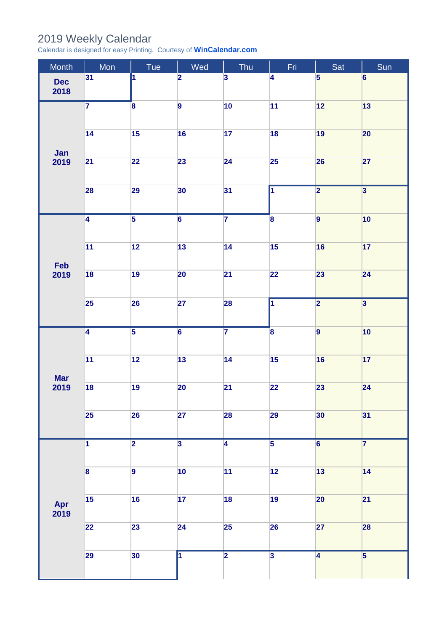## 2019 Weekly Calendar

Calendar is designed for easy Printing. Courtesy of **[WinCalendar.com](https://www.wincalendar.com/UK/2020-Word-Calendar)**

| Month              | Mon                     | Tue                     | Wed                     | Thu                     | Fri                     | Sat                     | Sun                     |
|--------------------|-------------------------|-------------------------|-------------------------|-------------------------|-------------------------|-------------------------|-------------------------|
| <b>Dec</b><br>2018 | 31                      | 1                       | $\overline{\mathbf{2}}$ | $\overline{\mathbf{3}}$ | $\overline{\mathbf{4}}$ | $\overline{\mathbf{5}}$ | $6\phantom{a}$          |
| Jan<br>2019        | $\overline{\mathbf{7}}$ | $\overline{\mathbf{8}}$ | $\overline{9}$          | 10                      | 11                      | $\boxed{12}$            | 13                      |
|                    | 14                      | 15                      | 16                      | 17                      | 18                      | 19                      | $ 20\rangle$            |
|                    | 21                      | 22                      | 23                      | 24                      | 25                      | 26                      | 27                      |
|                    | 28                      | 29                      | 30                      | 31                      | $\overline{\mathbf{1}}$ | $\overline{\mathbf{2}}$ | $\overline{\mathbf{3}}$ |
| Feb<br>2019        | $\overline{4}$          | $\overline{\mathbf{5}}$ | $\overline{6}$          | $\overline{7}$          | $\overline{\mathbf{8}}$ | $\overline{9}$          | 10                      |
|                    | $\overline{11}$         | 12                      | 13                      | 14                      | 15                      | 16                      | 17                      |
|                    | 18                      | 19                      | 20                      | $\overline{21}$         | 22                      | 23                      | 24                      |
|                    | 25                      | 26                      | 27                      | 28                      | $\overline{\mathbf{1}}$ | $\overline{\mathbf{2}}$ | $\overline{\mathbf{3}}$ |
| <b>Mar</b><br>2019 | $\overline{4}$          | $\overline{\mathbf{5}}$ | $\overline{6}$          | $\overline{7}$          | $\overline{\mathbf{8}}$ | $\overline{9}$          | 10                      |
|                    | $\overline{11}$         | 12                      | 13                      | 14                      | 15                      | 16                      | 17                      |
|                    | 18                      | 19                      | 20                      | $\overline{21}$         | 22                      | 23                      | 24                      |
|                    | 25                      | 26                      | 27                      | 28                      | 29                      | 30                      | 31                      |
| Apr<br>2019        | $\overline{\mathbf{1}}$ | $\overline{\mathbf{2}}$ | $\overline{\mathbf{3}}$ | $\overline{4}$          | $\overline{5}$          | $\overline{6}$          | $\overline{7}$          |
|                    | $\overline{\mathbf{8}}$ | $\overline{9}$          | 10                      | 11                      | 12                      | 13                      | 14                      |
|                    | 15                      | 16                      | 17                      | 18                      | 19                      | 20                      | 21                      |
|                    | 22                      | 23                      | 24                      | 25                      | 26                      | 27                      | 28                      |
|                    | 29                      | 30                      | 7                       | $\overline{\mathbf{2}}$ | $\overline{\mathbf{3}}$ | $\overline{4}$          | $\overline{\mathbf{5}}$ |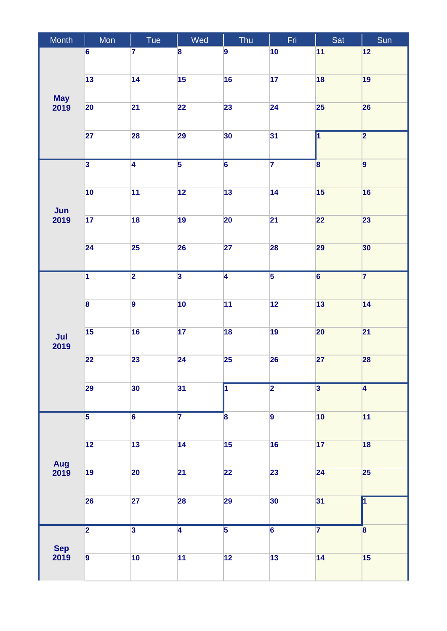| Month              | Mon                     | Tue                     | Wed                     | Thu                     | Fri,            | Sat                     | Sun                     |
|--------------------|-------------------------|-------------------------|-------------------------|-------------------------|-----------------|-------------------------|-------------------------|
|                    | 6                       | 7                       | 8                       | 9                       | 10              | 11                      | 12                      |
|                    |                         |                         |                         |                         |                 |                         |                         |
|                    | 13                      | 14                      | 15                      | 16                      | 17              | 18                      | 19                      |
| <b>May</b>         |                         |                         |                         |                         |                 |                         |                         |
| 2019               | 20                      | 21                      | 22                      | 23                      | 24              | <b>25</b>               | 26                      |
|                    |                         |                         |                         |                         |                 |                         |                         |
|                    | 27                      | 28                      | 29                      | 30                      | 31              | $\overline{\mathbf{1}}$ | $\overline{\mathbf{2}}$ |
|                    |                         |                         |                         |                         | $\overline{7}$  |                         |                         |
|                    | $\overline{3}$          | $\overline{4}$          | $\overline{5}$          | $\overline{6}$          |                 | $\mathbf{8}$            | 9                       |
|                    | 10                      | 11                      | 12                      | 13                      | 14              | 15                      | 16                      |
|                    |                         |                         |                         |                         |                 |                         |                         |
| Jun<br>2019        | 17                      | 18                      | 19                      | 20                      | $\overline{21}$ | 22                      | 23                      |
|                    |                         |                         |                         |                         |                 |                         |                         |
|                    | $\overline{24}$         | 25                      | 26                      | $\overline{27}$         | 28              | 29                      | 30                      |
|                    |                         |                         |                         |                         |                 |                         |                         |
|                    | $\overline{\mathbf{1}}$ | $\overline{\mathbf{2}}$ | $\overline{3}$          | $\overline{4}$          | $\overline{5}$  | $\overline{6}$          | 7                       |
|                    |                         |                         |                         |                         |                 |                         |                         |
| Jul<br>2019        | $\overline{\mathbf{8}}$ | $\overline{9}$          | 10                      | 11                      | 12              | 13                      | 14                      |
|                    |                         |                         |                         |                         |                 |                         |                         |
|                    | 15                      | 16                      | 17                      | 18                      | 19              | $20\,$                  | 21                      |
|                    |                         |                         |                         |                         |                 |                         |                         |
|                    | 22                      | 23                      | 24                      | 25                      | 26              | 27                      | 28                      |
|                    |                         |                         |                         |                         |                 |                         |                         |
|                    | 29                      | 30                      | 31                      | $\overline{\mathbf{1}}$ | $\overline{2}$  | $\overline{\mathbf{3}}$ | $\overline{4}$          |
|                    | $\overline{\mathbf{5}}$ | $\overline{6}$          | $\overline{\mathbf{7}}$ | $\overline{\mathbf{8}}$ | $\overline{9}$  | 10                      | 11                      |
| Aug<br>2019        |                         |                         |                         |                         |                 |                         |                         |
|                    | 12                      | 13                      | 14                      | 15                      | 16              | 17                      | 18                      |
|                    |                         |                         |                         |                         |                 |                         |                         |
|                    | 19                      | 20                      | 21                      | 22                      | 23              | 24                      | 25                      |
|                    |                         |                         |                         |                         |                 |                         |                         |
|                    | 26                      | 27                      | 28                      | 29                      | 30              | 31                      | $\overline{\mathbf{1}}$ |
|                    |                         |                         |                         |                         |                 |                         |                         |
| <b>Sep</b><br>2019 | $\overline{2}$          | $\overline{\mathbf{3}}$ | $\overline{4}$          | $\overline{5}$          | $\overline{6}$  | $\overline{7}$          | $\overline{\mathbf{8}}$ |
|                    |                         |                         |                         |                         |                 |                         |                         |
|                    | $\overline{9}$          | 10                      | 11                      | 12                      | 13              | 14                      | 15                      |
|                    |                         |                         |                         |                         |                 |                         |                         |